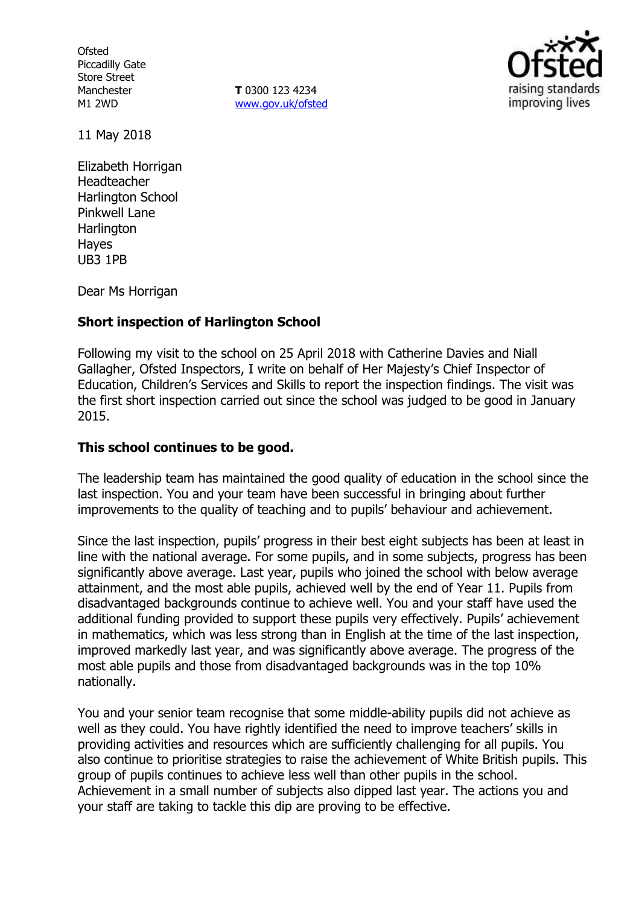**Ofsted** Piccadilly Gate Store Street Manchester M1 2WD

**T** 0300 123 4234 www.gov.uk/ofsted



11 May 2018

Elizabeth Horrigan Headteacher Harlington School Pinkwell Lane **Harlington** Hayes UB3 1PB

Dear Ms Horrigan

#### **Short inspection of Harlington School**

Following my visit to the school on 25 April 2018 with Catherine Davies and Niall Gallagher, Ofsted Inspectors, I write on behalf of Her Majesty's Chief Inspector of Education, Children's Services and Skills to report the inspection findings. The visit was the first short inspection carried out since the school was judged to be good in January 2015.

#### **This school continues to be good.**

The leadership team has maintained the good quality of education in the school since the last inspection. You and your team have been successful in bringing about further improvements to the quality of teaching and to pupils' behaviour and achievement.

Since the last inspection, pupils' progress in their best eight subjects has been at least in line with the national average. For some pupils, and in some subjects, progress has been significantly above average. Last year, pupils who joined the school with below average attainment, and the most able pupils, achieved well by the end of Year 11. Pupils from disadvantaged backgrounds continue to achieve well. You and your staff have used the additional funding provided to support these pupils very effectively. Pupils' achievement in mathematics, which was less strong than in English at the time of the last inspection, improved markedly last year, and was significantly above average. The progress of the most able pupils and those from disadvantaged backgrounds was in the top 10% nationally.

You and your senior team recognise that some middle-ability pupils did not achieve as well as they could. You have rightly identified the need to improve teachers' skills in providing activities and resources which are sufficiently challenging for all pupils. You also continue to prioritise strategies to raise the achievement of White British pupils. This group of pupils continues to achieve less well than other pupils in the school. Achievement in a small number of subjects also dipped last year. The actions you and your staff are taking to tackle this dip are proving to be effective.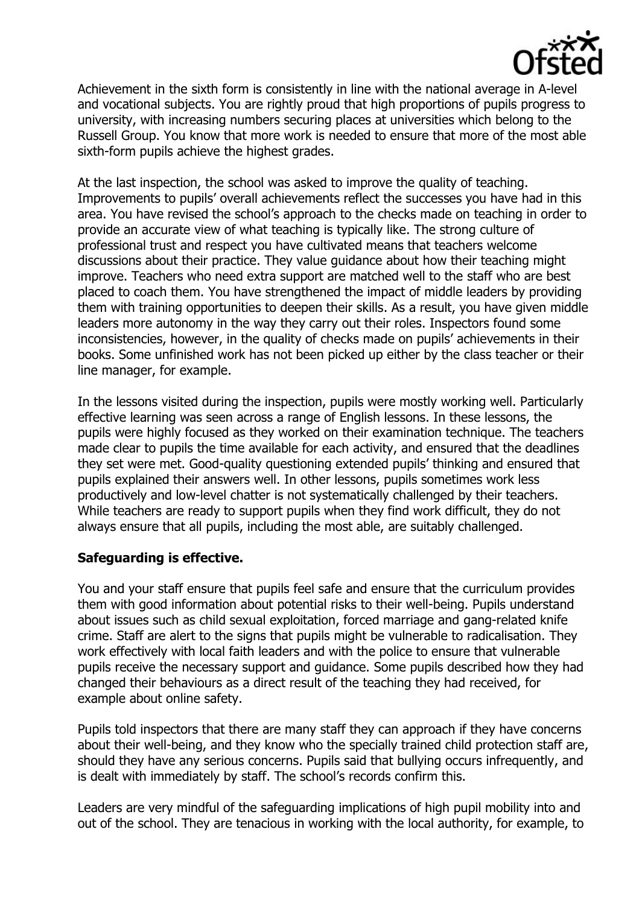

Achievement in the sixth form is consistently in line with the national average in A-level and vocational subjects. You are rightly proud that high proportions of pupils progress to university, with increasing numbers securing places at universities which belong to the Russell Group. You know that more work is needed to ensure that more of the most able sixth-form pupils achieve the highest grades.

At the last inspection, the school was asked to improve the quality of teaching. Improvements to pupils' overall achievements reflect the successes you have had in this area. You have revised the school's approach to the checks made on teaching in order to provide an accurate view of what teaching is typically like. The strong culture of professional trust and respect you have cultivated means that teachers welcome discussions about their practice. They value guidance about how their teaching might improve. Teachers who need extra support are matched well to the staff who are best placed to coach them. You have strengthened the impact of middle leaders by providing them with training opportunities to deepen their skills. As a result, you have given middle leaders more autonomy in the way they carry out their roles. Inspectors found some inconsistencies, however, in the quality of checks made on pupils' achievements in their books. Some unfinished work has not been picked up either by the class teacher or their line manager, for example.

In the lessons visited during the inspection, pupils were mostly working well. Particularly effective learning was seen across a range of English lessons. In these lessons, the pupils were highly focused as they worked on their examination technique. The teachers made clear to pupils the time available for each activity, and ensured that the deadlines they set were met. Good-quality questioning extended pupils' thinking and ensured that pupils explained their answers well. In other lessons, pupils sometimes work less productively and low-level chatter is not systematically challenged by their teachers. While teachers are ready to support pupils when they find work difficult, they do not always ensure that all pupils, including the most able, are suitably challenged.

# **Safeguarding is effective.**

You and your staff ensure that pupils feel safe and ensure that the curriculum provides them with good information about potential risks to their well-being. Pupils understand about issues such as child sexual exploitation, forced marriage and gang-related knife crime. Staff are alert to the signs that pupils might be vulnerable to radicalisation. They work effectively with local faith leaders and with the police to ensure that vulnerable pupils receive the necessary support and guidance. Some pupils described how they had changed their behaviours as a direct result of the teaching they had received, for example about online safety.

Pupils told inspectors that there are many staff they can approach if they have concerns about their well-being, and they know who the specially trained child protection staff are, should they have any serious concerns. Pupils said that bullying occurs infrequently, and is dealt with immediately by staff. The school's records confirm this.

Leaders are very mindful of the safeguarding implications of high pupil mobility into and out of the school. They are tenacious in working with the local authority, for example, to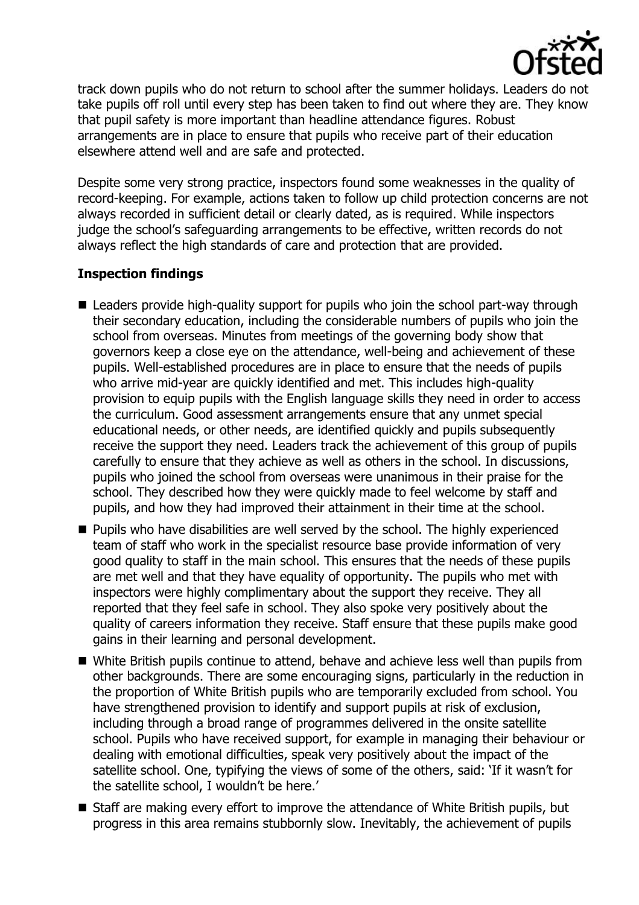

track down pupils who do not return to school after the summer holidays. Leaders do not take pupils off roll until every step has been taken to find out where they are. They know that pupil safety is more important than headline attendance figures. Robust arrangements are in place to ensure that pupils who receive part of their education elsewhere attend well and are safe and protected.

Despite some very strong practice, inspectors found some weaknesses in the quality of record-keeping. For example, actions taken to follow up child protection concerns are not always recorded in sufficient detail or clearly dated, as is required. While inspectors judge the school's safeguarding arrangements to be effective, written records do not always reflect the high standards of care and protection that are provided.

# **Inspection findings**

- Leaders provide high-quality support for pupils who join the school part-way through their secondary education, including the considerable numbers of pupils who join the school from overseas. Minutes from meetings of the governing body show that governors keep a close eye on the attendance, well-being and achievement of these pupils. Well-established procedures are in place to ensure that the needs of pupils who arrive mid-year are quickly identified and met. This includes high-quality provision to equip pupils with the English language skills they need in order to access the curriculum. Good assessment arrangements ensure that any unmet special educational needs, or other needs, are identified quickly and pupils subsequently receive the support they need. Leaders track the achievement of this group of pupils carefully to ensure that they achieve as well as others in the school. In discussions, pupils who joined the school from overseas were unanimous in their praise for the school. They described how they were quickly made to feel welcome by staff and pupils, and how they had improved their attainment in their time at the school.
- **Pupils who have disabilities are well served by the school. The highly experienced** team of staff who work in the specialist resource base provide information of very good quality to staff in the main school. This ensures that the needs of these pupils are met well and that they have equality of opportunity. The pupils who met with inspectors were highly complimentary about the support they receive. They all reported that they feel safe in school. They also spoke very positively about the quality of careers information they receive. Staff ensure that these pupils make good gains in their learning and personal development.
- White British pupils continue to attend, behave and achieve less well than pupils from other backgrounds. There are some encouraging signs, particularly in the reduction in the proportion of White British pupils who are temporarily excluded from school. You have strengthened provision to identify and support pupils at risk of exclusion, including through a broad range of programmes delivered in the onsite satellite school. Pupils who have received support, for example in managing their behaviour or dealing with emotional difficulties, speak very positively about the impact of the satellite school. One, typifying the views of some of the others, said: 'If it wasn't for the satellite school, I wouldn't be here.'
- Staff are making every effort to improve the attendance of White British pupils, but progress in this area remains stubbornly slow. Inevitably, the achievement of pupils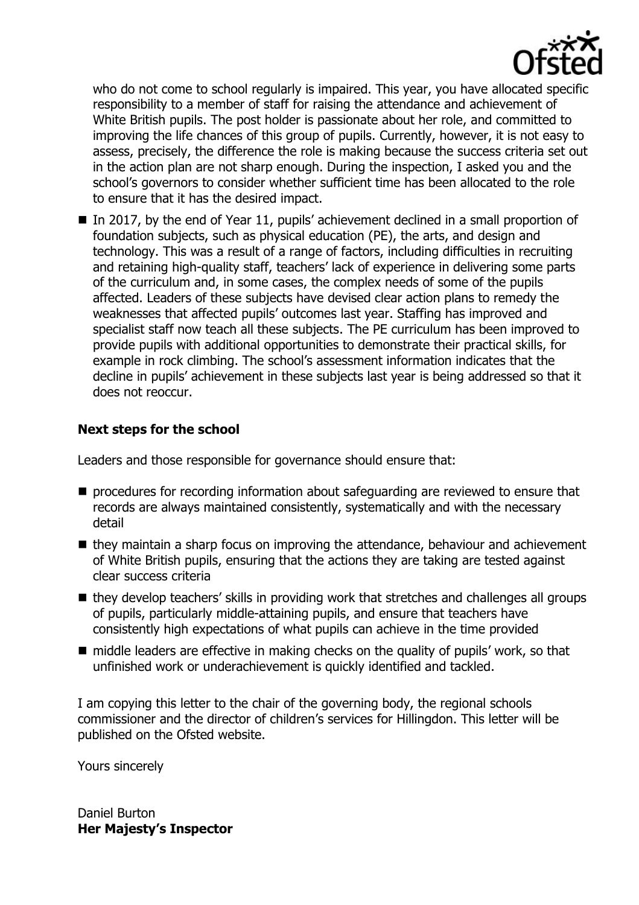

who do not come to school regularly is impaired. This year, you have allocated specific responsibility to a member of staff for raising the attendance and achievement of White British pupils. The post holder is passionate about her role, and committed to improving the life chances of this group of pupils. Currently, however, it is not easy to assess, precisely, the difference the role is making because the success criteria set out in the action plan are not sharp enough. During the inspection, I asked you and the school's governors to consider whether sufficient time has been allocated to the role to ensure that it has the desired impact.

■ In 2017, by the end of Year 11, pupils' achievement declined in a small proportion of foundation subjects, such as physical education (PE), the arts, and design and technology. This was a result of a range of factors, including difficulties in recruiting and retaining high-quality staff, teachers' lack of experience in delivering some parts of the curriculum and, in some cases, the complex needs of some of the pupils affected. Leaders of these subjects have devised clear action plans to remedy the weaknesses that affected pupils' outcomes last year. Staffing has improved and specialist staff now teach all these subjects. The PE curriculum has been improved to provide pupils with additional opportunities to demonstrate their practical skills, for example in rock climbing. The school's assessment information indicates that the decline in pupils' achievement in these subjects last year is being addressed so that it does not reoccur.

# **Next steps for the school**

Leaders and those responsible for governance should ensure that:

- **P** procedures for recording information about safeguarding are reviewed to ensure that records are always maintained consistently, systematically and with the necessary detail
- $\blacksquare$  they maintain a sharp focus on improving the attendance, behaviour and achievement of White British pupils, ensuring that the actions they are taking are tested against clear success criteria
- they develop teachers' skills in providing work that stretches and challenges all groups of pupils, particularly middle-attaining pupils, and ensure that teachers have consistently high expectations of what pupils can achieve in the time provided
- middle leaders are effective in making checks on the quality of pupils' work, so that unfinished work or underachievement is quickly identified and tackled.

I am copying this letter to the chair of the governing body, the regional schools commissioner and the director of children's services for Hillingdon. This letter will be published on the Ofsted website.

Yours sincerely

Daniel Burton **Her Majesty's Inspector**